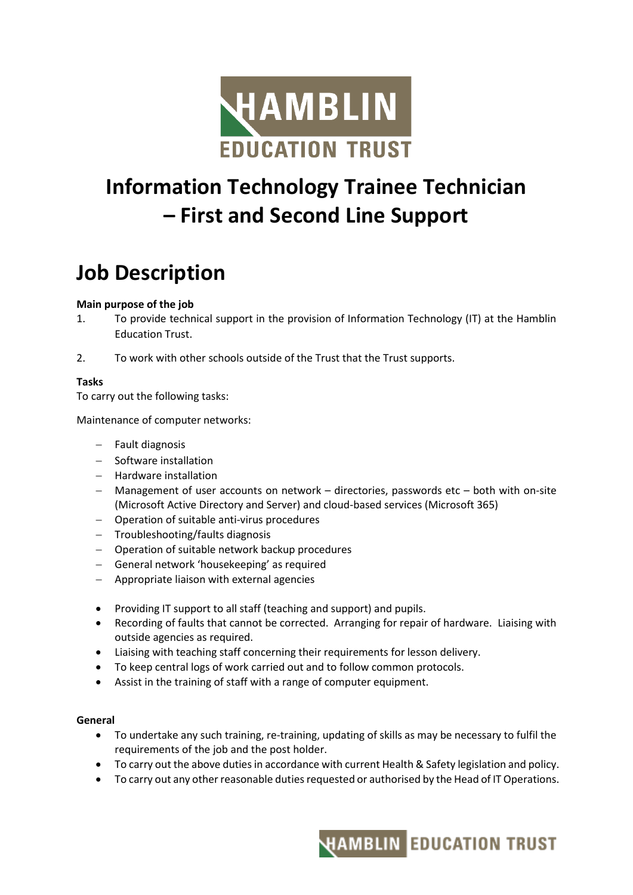

# **Information Technology Trainee Technician – First and Second Line Support**

## **Job Description**

#### **Main purpose of the job**

- 1. To provide technical support in the provision of Information Technology (IT) at the Hamblin Education Trust.
- 2. To work with other schools outside of the Trust that the Trust supports.

#### **Tasks**

To carry out the following tasks:

Maintenance of computer networks:

- − Fault diagnosis
- − Software installation
- − Hardware installation
- − Management of user accounts on network directories, passwords etc both with on-site (Microsoft Active Directory and Server) and cloud-based services (Microsoft 365)
- − Operation of suitable anti-virus procedures
- − Troubleshooting/faults diagnosis
- − Operation of suitable network backup procedures
- − General network 'housekeeping' as required
- − Appropriate liaison with external agencies
- Providing IT support to all staff (teaching and support) and pupils.
- Recording of faults that cannot be corrected. Arranging for repair of hardware. Liaising with outside agencies as required.
- Liaising with teaching staff concerning their requirements for lesson delivery.
- To keep central logs of work carried out and to follow common protocols.
- Assist in the training of staff with a range of computer equipment.

#### **General**

- To undertake any such training, re-training, updating of skills as may be necessary to fulfil the requirements of the job and the post holder.
- To carry out the above duties in accordance with current Health & Safety legislation and policy.
- To carry out any other reasonable duties requested or authorised by the Head of IT Operations.